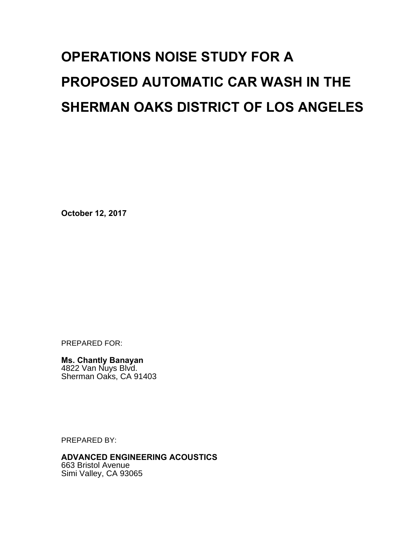# **OPERATIONS NOISE STUDY FOR A PROPOSED AUTOMATIC CAR WASH IN THE SHERMAN OAKS DISTRICT OF LOS ANGELES**

**October 12, 2017** 

PREPARED FOR:

**Ms. Chantly Banayan**  4822 Van Nuys Blvd. Sherman Oaks, CA 91403

PREPARED BY:

**ADVANCED ENGINEERING ACOUSTICS**  663 Bristol Avenue

Simi Valley, CA 93065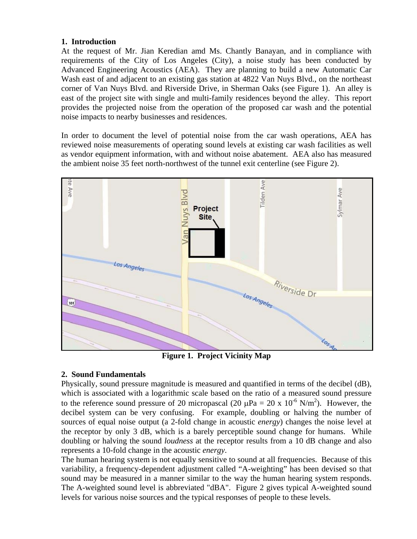#### **1. Introduction**

At the request of Mr. Jian Keredian amd Ms. Chantly Banayan, and in compliance with requirements of the City of Los Angeles (City), a noise study has been conducted by Advanced Engineering Acoustics (AEA). They are planning to build a new Automatic Car Wash east of and adjacent to an existing gas station at 4822 Van Nuys Blvd., on the northeast corner of Van Nuys Blvd. and Riverside Drive, in Sherman Oaks (see Figure 1). An alley is east of the project site with single and multi-family residences beyond the alley. This report provides the projected noise from the operation of the proposed car wash and the potential noise impacts to nearby businesses and residences.

In order to document the level of potential noise from the car wash operations, AEA has reviewed noise measurements of operating sound levels at existing car wash facilities as well as vendor equipment information, with and without noise abatement. AEA also has measured the ambient noise 35 feet north-northwest of the tunnel exit centerline (see Figure 2).



**Figure 1. Project Vicinity Map** 

### **2. Sound Fundamentals**

Physically, sound pressure magnitude is measured and quantified in terms of the decibel (dB), which is associated with a logarithmic scale based on the ratio of a measured sound pressure to the reference sound pressure of 20 micropascal (20  $\mu$ Pa = 20 x 10<sup>-6</sup> N/m<sup>2</sup>). However, the decibel system can be very confusing. For example, doubling or halving the number of sources of equal noise output (a 2-fold change in acoustic *energy*) changes the noise level at the receptor by only 3 dB, which is a barely perceptible sound change for humans. While doubling or halving the sound *loudness* at the receptor results from a 10 dB change and also represents a 10-fold change in the acoustic *energy*.

The human hearing system is not equally sensitive to sound at all frequencies. Because of this variability, a frequency-dependent adjustment called "A-weighting" has been devised so that sound may be measured in a manner similar to the way the human hearing system responds. The A-weighted sound level is abbreviated "dBA". Figure 2 gives typical A-weighted sound levels for various noise sources and the typical responses of people to these levels.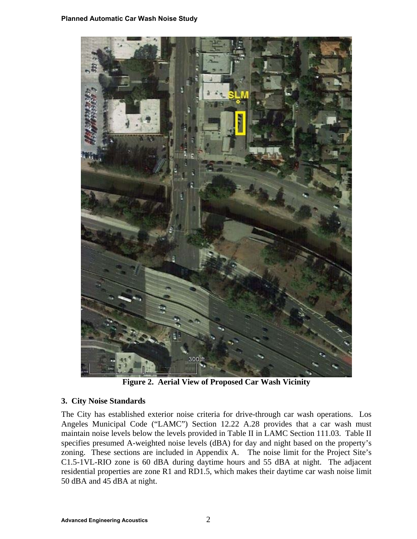

**Figure 2. Aerial View of Proposed Car Wash Vicinity** 

#### **3. City Noise Standards**

The City has established exterior noise criteria for drive-through car wash operations. Los Angeles Municipal Code ("LAMC") Section 12.22 A.28 provides that a car wash must maintain noise levels below the levels provided in Table II in LAMC Section 111.03. Table II specifies presumed A-weighted noise levels (dBA) for day and night based on the property's zoning. These sections are included in Appendix A. The noise limit for the Project Site's C1.5-1VL-RIO zone is 60 dBA during daytime hours and 55 dBA at night. The adjacent residential properties are zone R1 and RD1.5, which makes their daytime car wash noise limit 50 dBA and 45 dBA at night.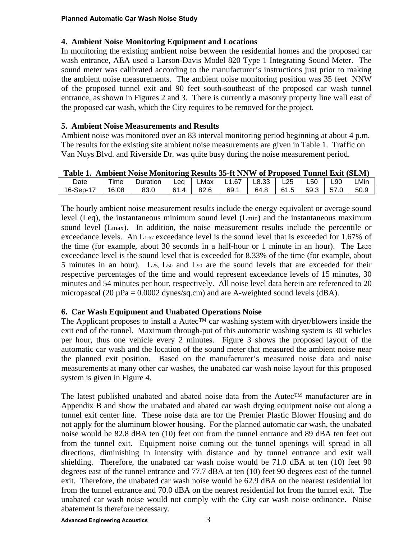#### **4. Ambient Noise Monitoring Equipment and Locations**

In monitoring the existing ambient noise between the residential homes and the proposed car wash entrance, AEA used a Larson-Davis Model 820 Type 1 Integrating Sound Meter. The sound meter was calibrated according to the manufacturer's instructions just prior to making the ambient noise measurements. The ambient noise monitoring position was 35 feet NNW of the proposed tunnel exit and 90 feet south-southeast of the proposed car wash tunnel entrance, as shown in Figures 2 and 3. There is currently a masonry property line wall east of the proposed car wash, which the City requires to be removed for the project.

#### **5. Ambient Noise Measurements and Results**

Ambient noise was monitored over an 83 interval monitoring period beginning at about 4 p.m. The results for the existing site ambient noise measurements are given in Table 1. Traffic on Van Nuys Blvd. and Riverside Dr. was quite busy during the noise measurement period.

|           | Table 1. Ambient Noise Monitoring Results 35-ft NNW of Proposed Tunnel Exit (SLM) |          |      |      |               |      |      |      |      |      |
|-----------|-----------------------------------------------------------------------------------|----------|------|------|---------------|------|------|------|------|------|
| Date      | ™e                                                                                | Duration | Lea  | LMax | L1.67   L8.33 |      | L25  | L50  | L90  | LMin |
| 16-Sep-17 | 16:08                                                                             | 83.0     | 61.4 | 82.6 | 69.1          | 64.8 | 61.5 | 59.3 | 57.0 | 50.9 |

**Table 1. Ambient Noise Monitoring Results 35-ft NNW of Proposed Tunnel Exit (SLM)** 

The hourly ambient noise measurement results include the energy equivalent or average sound level (Leq), the instantaneous minimum sound level (Lmin) and the instantaneous maximum sound level (Lmax). In addition, the noise measurement results include the percentile or exceedance levels. An L1.67 exceedance level is the sound level that is exceeded for 1.67% of the time (for example, about 30 seconds in a half-hour or 1 minute in an hour). The L8.33 exceedance level is the sound level that is exceeded for 8.33% of the time (for example, about 5 minutes in an hour). L25, L50 and L90 are the sound levels that are exceeded for their respective percentages of the time and would represent exceedance levels of 15 minutes, 30 minutes and 54 minutes per hour, respectively. All noise level data herein are referenced to 20 micropascal (20  $\mu$ Pa = 0.0002 dynes/sq.cm) and are A-weighted sound levels (dBA).

#### **6. Car Wash Equipment and Unabated Operations Noise**

The Applicant proposes to install a Autec<sup>™</sup> car washing system with dryer/blowers inside the exit end of the tunnel. Maximum through-put of this automatic washing system is 30 vehicles per hour, thus one vehicle every 2 minutes. Figure 3 shows the proposed layout of the automatic car wash and the location of the sound meter that measured the ambient noise near the planned exit position. Based on the manufacturer's measured noise data and noise measurements at many other car washes, the unabated car wash noise layout for this proposed system is given in Figure 4.

The latest published unabated and abated noise data from the Autec™ manufacturer are in Appendix B and show the unabated and abated car wash drying equipment noise out along a tunnel exit center line. These noise data are for the Premier Plastic Blower Housing and do not apply for the aluminum blower housing. For the planned automatic car wash, the unabated noise would be 82.8 dBA ten (10) feet out from the tunnel entrance and 89 dBA ten feet out from the tunnel exit. Equipment noise coming out the tunnel openings will spread in all directions, diminishing in intensity with distance and by tunnel entrance and exit wall shielding. Therefore, the unabated car wash noise would be 71.0 dBA at ten (10) feet 90 degrees east of the tunnel entrance and 77.7 dBA at ten (10) feet 90 degrees east of the tunnel exit. Therefore, the unabated car wash noise would be 62.9 dBA on the nearest residential lot from the tunnel entrance and 70.0 dBA on the nearest residential lot from the tunnel exit. The unabated car wash noise would not comply with the City car wash noise ordinance. Noise abatement is therefore necessary.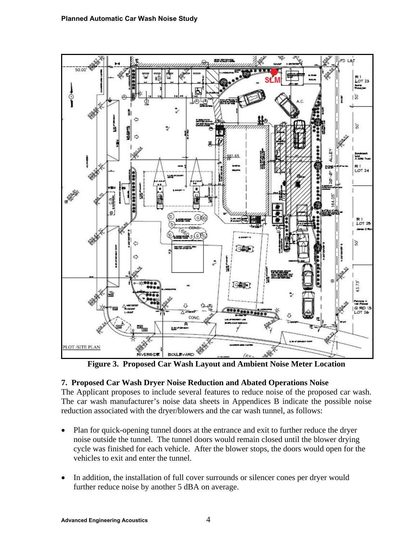

**Figure 3. Proposed Car Wash Layout and Ambient Noise Meter Location** 

#### **7. Proposed Car Wash Dryer Noise Reduction and Abated Operations Noise**

The Applicant proposes to include several features to reduce noise of the proposed car wash. The car wash manufacturer's noise data sheets in Appendices B indicate the possible noise reduction associated with the dryer/blowers and the car wash tunnel, as follows:

- Plan for quick-opening tunnel doors at the entrance and exit to further reduce the dryer noise outside the tunnel. The tunnel doors would remain closed until the blower drying cycle was finished for each vehicle. After the blower stops, the doors would open for the vehicles to exit and enter the tunnel.
- In addition, the installation of full cover surrounds or silencer cones per dryer would further reduce noise by another 5 dBA on average.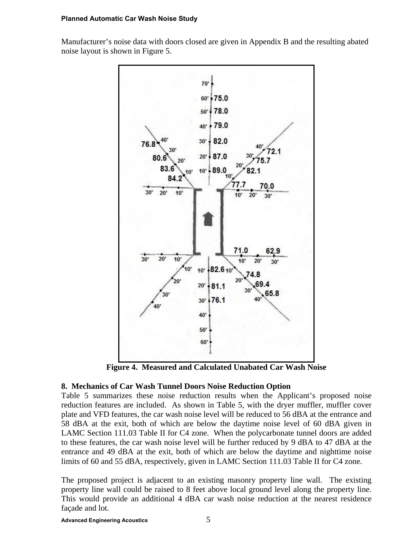#### **Planned Automatic Car Wash Noise Study**

Manufacturer's noise data with doors closed are given in Appendix B and the resulting abated noise layout is shown in Figure 5.



**Figure 4. Measured and Calculated Unabated Car Wash Noise** 

#### **8. Mechanics of Car Wash Tunnel Doors Noise Reduction Option**

Table 5 summarizes these noise reduction results when the Applicant's proposed noise reduction features are included. As shown in Table 5, with the dryer muffler, muffler cover plate and VFD features, the car wash noise level will be reduced to 56 dBA at the entrance and 58 dBA at the exit, both of which are below the daytime noise level of 60 dBA given in LAMC Section 111.03 Table II for C4 zone. When the polycarbonate tunnel doors are added to these features, the car wash noise level will be further reduced by 9 dBA to 47 dBA at the entrance and 49 dBA at the exit, both of which are below the daytime and nighttime noise limits of 60 and 55 dBA, respectively, given in LAMC Section 111.03 Table II for C4 zone.

The proposed project is adjacent to an existing masonry property line wall. The existing property line wall could be raised to 8 feet above local ground level along the property line. This would provide an additional 4 dBA car wash noise reduction at the nearest residence façade and lot.

**Advanced Engineering Acoustics** 5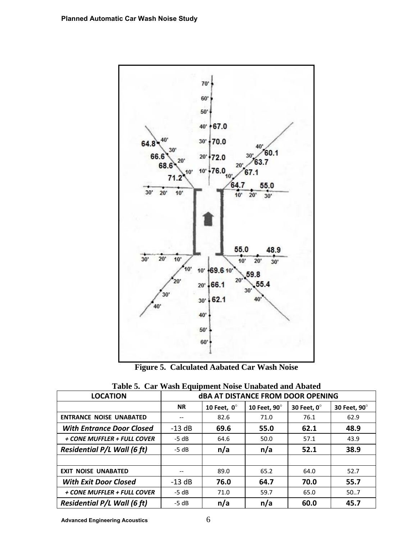

**Figure 5. Calculated Aabated Car Wash Noise** 

| Table of that wasn't equipment tolde chabated and troated<br><b>LOCATION</b> | <b>dBA AT DISTANCE FROM DOOR OPENING</b> |                    |              |             |              |
|------------------------------------------------------------------------------|------------------------------------------|--------------------|--------------|-------------|--------------|
|                                                                              | <b>NR</b>                                | 10 Feet, $0^\circ$ | 10 Feet, 90° | 30 Feet, 0° | 30 Feet, 90° |
| <b>ENTRANCE NOISE UNABATED</b>                                               |                                          | 82.6               | 71.0         | 76.1        | 62.9         |
| <b>With Entrance Door Closed</b>                                             | $-13$ dB                                 | 69.6               | 55.0         | 62.1        | 48.9         |
| + CONE MUFFLER + FULL COVER                                                  | $-5 dB$                                  | 64.6               | 50.0         | 57.1        | 43.9         |
| <b>Residential P/L Wall (6 ft)</b>                                           | $-5 dB$                                  | n/a                | n/a          | 52.1        | 38.9         |
|                                                                              |                                          |                    |              |             |              |
| <b>EXIT NOISE UNABATED</b>                                                   |                                          | 89.0               | 65.2         | 64.0        | 52.7         |
| <b>With Exit Door Closed</b>                                                 | $-13$ dB                                 | 76.0               | 64.7         | 70.0        | 55.7         |
| + CONE MUFFLER + FULL COVER                                                  | $-5 dB$                                  | 71.0               | 59.7         | 65.0        | 50.7         |
| <b>Residential P/L Wall (6 ft)</b>                                           | $-5 dB$                                  | n/a                | n/a          | 60.0        | 45.7         |

|  |  |  |  |  | Table 5. Car Wash Equipment Noise Unabated and Abated |
|--|--|--|--|--|-------------------------------------------------------|
|--|--|--|--|--|-------------------------------------------------------|

**Advanced Engineering Acoustics** 6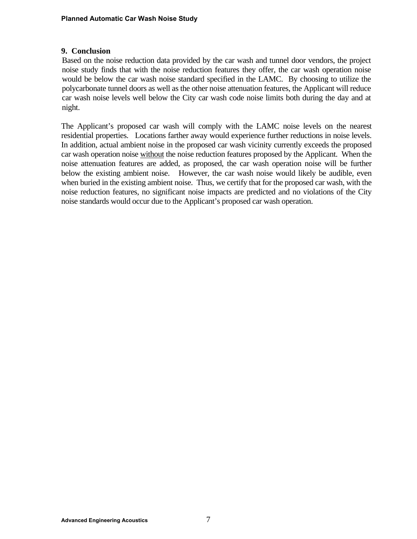#### **9. Conclusion**

Based on the noise reduction data provided by the car wash and tunnel door vendors, the project noise study finds that with the noise reduction features they offer, the car wash operation noise would be below the car wash noise standard specified in the LAMC. By choosing to utilize the polycarbonate tunnel doors as well as the other noise attenuation features, the Applicant will reduce car wash noise levels well below the City car wash code noise limits both during the day and at night.

The Applicant's proposed car wash will comply with the LAMC noise levels on the nearest residential properties. Locations farther away would experience further reductions in noise levels. In addition, actual ambient noise in the proposed car wash vicinity currently exceeds the proposed car wash operation noise without the noise reduction features proposed by the Applicant. When the noise attenuation features are added, as proposed, the car wash operation noise will be further below the existing ambient noise. However, the car wash noise would likely be audible, even when buried in the existing ambient noise. Thus, we certify that for the proposed car wash, with the noise reduction features, no significant noise impacts are predicted and no violations of the City noise standards would occur due to the Applicant's proposed car wash operation.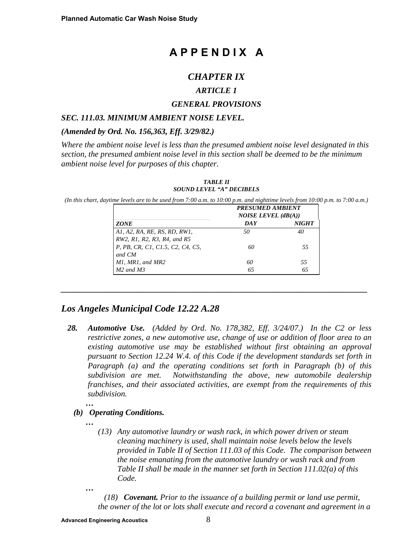# **A P P E N D I X A**

# *CHAPTER IX*

#### *ARTICLE 1*

#### *GENERAL PROVISIONS*

#### *SEC. 111.03. MINIMUM AMBIENT NOISE LEVEL.*

#### *(Amended by Ord. No. 156,363, Eff. 3/29/82.)*

*Where the ambient noise level is less than the presumed ambient noise level designated in this section, the presumed ambient noise level in this section shall be deemed to be the minimum ambient noise level for purposes of this chapter.* 

|                                  | <b>PRESUMED AMBIENT</b><br><b>NOISE LEVEL</b> $(dB(A))$ |              |  |
|----------------------------------|---------------------------------------------------------|--------------|--|
| <b>ZONE</b>                      | DA Y                                                    | <b>NIGHT</b> |  |
| A1, A2, RA, RE, RS, RD, RW1,     | 50                                                      | 40           |  |
| RW2, R1, R2, R3, R4, and R5      |                                                         |              |  |
| P, PB, CR, C1, C1.5, C2, C4, C5, | 60                                                      | 55           |  |
| and CM                           |                                                         |              |  |
| M1, MR1, and MR2                 | 60                                                      | 55           |  |
| $M2$ and $M3$                    | 65                                                      | 65           |  |

*\_\_\_\_\_\_\_\_\_\_\_\_\_\_\_\_\_\_\_\_\_\_\_\_\_\_\_\_\_\_\_\_\_\_\_\_\_\_\_\_\_\_\_\_\_\_\_\_\_\_\_\_\_\_\_\_\_\_\_\_\_\_\_\_\_\_\_\_\_\_\_\_\_\_\_* 

*TABLE II SOUND LEVEL "A" DECIBELS* 

*(In this chart, daytime levels are to be used from 7:00 a.m. to 10:00 p.m. and nighttime levels from 10:00 p.m. to 7:00 a.m.)*

## *Los Angeles Municipal Code 12.22 A.28*

*28. Automotive Use. (Added by Ord. No. 178,382, Eff. 3/24/07.) In the C2 or less restrictive zones, a new automotive use, change of use or addition of floor area to an existing automotive use may be established without first obtaining an approval pursuant to Section 12.24 W.4. of this Code if the development standards set forth in Paragraph (a) and the operating conditions set forth in Paragraph (b) of this subdivision are met. Notwithstanding the above, new automobile dealership franchises, and their associated activities, are exempt from the requirements of this subdivision.*

#### *(b) Operating Conditions.*

*…* 

*…* 

- *(13) Any automotive laundry or wash rack, in which power driven or steam cleaning machinery is used, shall maintain noise levels below the levels provided in Table II of Section 111.03 of this Code. The comparison between the noise emanating from the automotive laundry or wash rack and from Table II shall be made in the manner set forth in Section 111.02(a) of this Code.*
- *…*

 *(18) Covenant. Prior to the issuance of a building permit or land use permit, the owner of the lot or lots shall execute and record a covenant and agreement in a*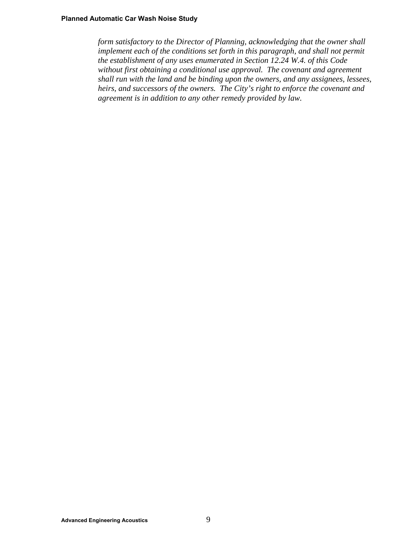*form satisfactory to the Director of Planning, acknowledging that the owner shall*  implement each of the conditions set forth in this paragraph, and shall not permit *the establishment of any uses enumerated in Section 12.24 W.4. of this Code without first obtaining a conditional use approval. The covenant and agreement shall run with the land and be binding upon the owners, and any assignees, lessees, heirs, and successors of the owners. The City's right to enforce the covenant and agreement is in addition to any other remedy provided by law.*